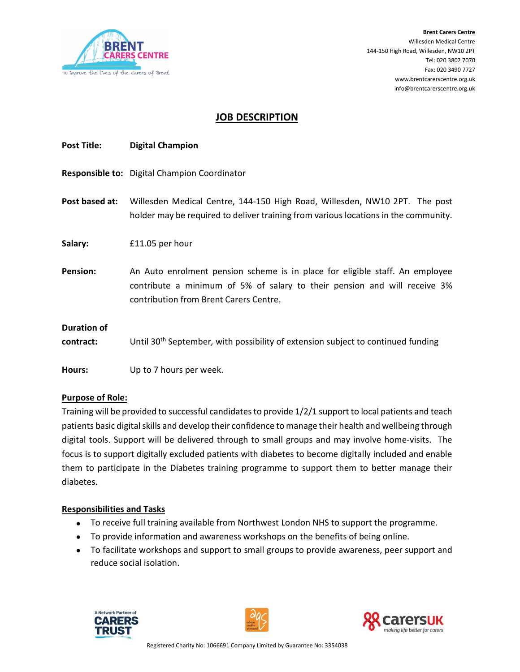

## JOB DESCRIPTION

| <b>Post Title:</b>              | <b>Digital Champion</b>                                                                                                                                                                             |
|---------------------------------|-----------------------------------------------------------------------------------------------------------------------------------------------------------------------------------------------------|
|                                 | Responsible to: Digital Champion Coordinator                                                                                                                                                        |
| Post based at:                  | Willesden Medical Centre, 144-150 High Road, Willesden, NW10 2PT. The post<br>holder may be required to deliver training from various locations in the community.                                   |
| Salary:                         | £11.05 per hour                                                                                                                                                                                     |
| <b>Pension:</b>                 | An Auto enrolment pension scheme is in place for eligible staff. An employee<br>contribute a minimum of 5% of salary to their pension and will receive 3%<br>contribution from Brent Carers Centre. |
| <b>Duration of</b><br>contract: | Until 30 <sup>th</sup> September, with possibility of extension subject to continued funding                                                                                                        |
| Hours:                          | Up to 7 hours per week.                                                                                                                                                                             |

#### Purpose of Role:

Training will be provided to successful candidates to provide 1/2/1 support to local patients and teach patients basic digital skills and develop their confidence to manage their health and wellbeing through digital tools. Support will be delivered through to small groups and may involve home-visits. The focus is to support digitally excluded patients with diabetes to become digitally included and enable them to participate in the Diabetes training programme to support them to better manage their diabetes.

#### Responsibilities and Tasks

- To receive full training available from Northwest London NHS to support the programme.
- To provide information and awareness workshops on the benefits of being online.
- To facilitate workshops and support to small groups to provide awareness, peer support and reduce social isolation.





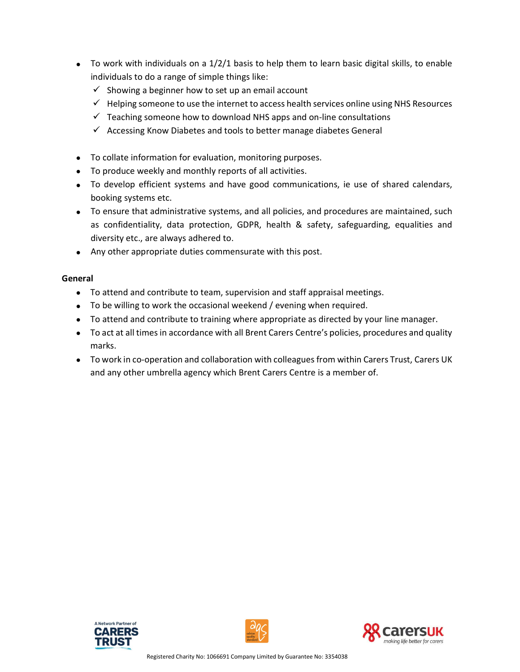- $\bullet$  To work with individuals on a 1/2/1 basis to help them to learn basic digital skills, to enable individuals to do a range of simple things like:
	- $\checkmark$  Showing a beginner how to set up an email account
	- $\checkmark$  Helping someone to use the internet to access health services online using NHS Resources
	- $\checkmark$  Teaching someone how to download NHS apps and on-line consultations
	- $\checkmark$  Accessing Know Diabetes and tools to better manage diabetes General
- To collate information for evaluation, monitoring purposes.
- To produce weekly and monthly reports of all activities.
- To develop efficient systems and have good communications, ie use of shared calendars, booking systems etc.
- To ensure that administrative systems, and all policies, and procedures are maintained, such as confidentiality, data protection, GDPR, health & safety, safeguarding, equalities and diversity etc., are always adhered to.
- Any other appropriate duties commensurate with this post.

### General

- To attend and contribute to team, supervision and staff appraisal meetings.
- To be willing to work the occasional weekend / evening when required.
- To attend and contribute to training where appropriate as directed by your line manager.
- To act at all times in accordance with all Brent Carers Centre's policies, procedures and quality marks.
- To work in co-operation and collaboration with colleagues from within Carers Trust, Carers UK and any other umbrella agency which Brent Carers Centre is a member of.